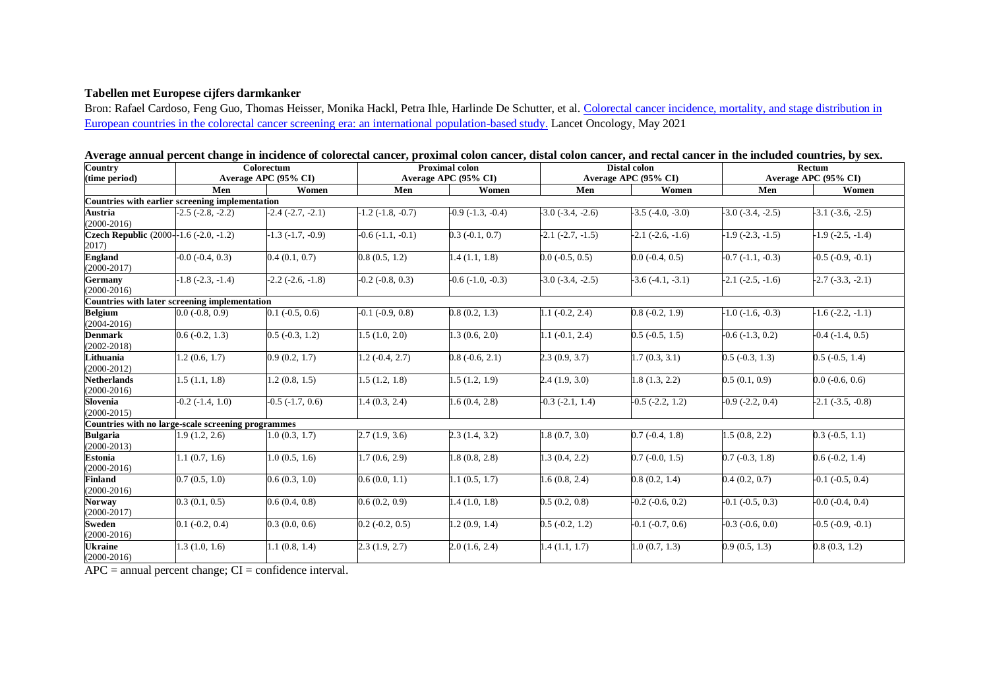## **Tabellen met Europese cijfers darmkanker**

Bron: Rafael Cardoso, Feng Guo, Thomas Heisser, Monika Hackl, Petra Ihle, Harlinde De Schutter, et al. Colorectal cancer incidence, mortality, and stage distribution in [European countries in the colorectal cancer screening era: an international population-based study.](https://pubmed.ncbi.nlm.nih.gov/34048685/) Lancet Oncology, May 2021

| Country                                            | Colorectum                    |                          | <b>Proximal colon</b>    |                       | Distal colon             |                          | Rectum                |                          |
|----------------------------------------------------|-------------------------------|--------------------------|--------------------------|-----------------------|--------------------------|--------------------------|-----------------------|--------------------------|
| (time period)                                      |                               | Average APC (95% CI)     |                          | Average APC (95% CI)  | Average APC (95% CI)     |                          | Average APC (95% CI)  |                          |
|                                                    | Men                           | Women                    | Men                      | Women                 | Men                      | Women                    | Men                   | Women                    |
| Countries with earlier screening implementation    |                               |                          |                          |                       |                          |                          |                       |                          |
| Austria<br>$(2000-2016)$                           | $-2.5$ $(-2.8, -2.2)$         | $-2.4(-2.7, -2.1)$       | $-1.2$ $(-1.8, -0.7)$    | $-0.9$ $(-1.3, -0.4)$ | $-3.0$ $(-3.4, -2.6)$    | $-3.5$ $(-4.0, -3.0)$    | $-3.0$ $(-3.4, -2.5)$ | $-3.1$ $(-3.6, -2.5)$    |
| Czech Republic (2000--1.6 (-2.0, -1.2)<br>2017)    |                               | $-1.3$ $(-1.7, -0.9)$    | $-0.6(-1.1, -0.1)$       | $0.3$ (-0.1, 0.7)     | $-2.1$ $(-2.7, -1.5)$    | $-2.1$ $(-2.6, -1.6)$    | $-1.9$ $(-2.3, -1.5)$ | $-1.9$ $(-2.5, -1.4)$    |
| <b>England</b><br>$(2000-2017)$                    | $-0.0$ $(-0.4, 0.3)$          | 0.4(0.1, 0.7)            | 0.8(0.5, 1.2)            | 1.4(1.1, 1.8)         | $0.0$ ( $-0.5$ , $0.5$ ) | $0.0$ ( $-0.4$ , $0.5$ ) | $-0.7(-1.1, -0.3)$    | $-0.5$ $(-0.9, -0.1)$    |
| <b>Germany</b><br>$(2000-2016)$                    | $-1.8$ $(-2.3, -1.4)$         | $-2.2$ $(-2.6, -1.8)$    | $-0.2$ $(-0.8, 0.3)$     | $-0.6(-1.0, -0.3)$    | $-3.0$ $(-3.4, -2.5)$    | $-3.6(-4.1, -3.1)$       | $-2.1$ $(-2.5, -1.6)$ | $-2.7(-3.3, -2.1)$       |
| Countries with later screening implementation      |                               |                          |                          |                       |                          |                          |                       |                          |
| <b>Belgium</b><br>$(2004 - 2016)$                  | $0.0$ (-0.8, 0.9)             | $0.1$ ( $-0.5$ , $0.6$ ) | $-0.1$ $(-0.9, 0.8)$     | 0.8(0.2, 1.3)         | $1.1(-0.2, 2.4)$         | $0.8(-0.2, 1.9)$         | $-1.0$ $(-1.6, -0.3)$ | $-1.6$ $(-2.2, -1.1)$    |
| <b>Denmark</b><br>$(2002 - 2018)$                  | $0.6(-0.2, 1.3)$              | $0.5$ ( $-0.3$ , 1.2)    | 1.5(1.0, 2.0)            | 1.3(0.6, 2.0)         | $1.1(-0.1, 2.4)$         | $0.5$ ( $-0.5$ , 1.5)    | $-0.6$ $(-1.3, 0.2)$  | $-0.4$ $(-1.4, 0.5)$     |
| Lithuania<br>$(2000-2012)$                         | 1.2(0.6, 1.7)                 | 0.9(0.2, 1.7)            | $1.2(-0.4, 2.7)$         | $0.8(-0.6, 2.1)$      | 2.3(0.9, 3.7)            | 1.7(0.3, 3.1)            | $0.5$ ( $-0.3$ , 1.3) | $0.5$ ( $-0.5$ , 1.4)    |
| <b>Netherlands</b><br>$(2000-2016)$                | 1.5(1.1, 1.8)                 | 1.2(0.8, 1.5)            | 1.5(1.2, 1.8)            | 1.5(1.2, 1.9)         | 2.4(1.9, 3.0)            | 1.8(1.3, 2.2)            | 0.5(0.1, 0.9)         | $0.0$ ( $-0.6$ , $0.6$ ) |
| Slovenia<br>$(2000 - 2015)$                        | $\overline{-0.2}$ (-1.4, 1.0) | $-0.5$ $(-1.7, 0.6)$     | 1.4(0.3, 2.4)            | 1.6(0.4, 2.8)         | $-0.3$ $(-2.1, 1.4)$     | $-0.5$ $(-2.2, 1.2)$     | $-0.9$ $(-2.2, 0.4)$  | $-2.1$ $(-3.5, -0.8)$    |
| Countries with no large-scale screening programmes |                               |                          |                          |                       |                          |                          |                       |                          |
| <b>Bulgaria</b><br>$(2000-2013)$                   | 1.9(1.2, 2.6)                 | 1.0(0.3, 1.7)            | 2.7(1.9, 3.6)            | 2.3(1.4, 3.2)         | 1.8(0.7, 3.0)            | $0.7(-0.4, 1.8)$         | 1.5(0.8, 2.2)         | $0.3$ ( $-0.5$ , 1.1)    |
| <b>Estonia</b><br>$(2000-2016)$                    | 1.1(0.7, 1.6)                 | 1.0(0.5, 1.6)            | 1.7(0.6, 2.9)            | 1.8(0.8, 2.8)         | 1.3(0.4, 2.2)            | $0.7$ ( $-0.0, 1.5$ )    | $0.7(-0.3, 1.8)$      | $0.6(-0.2, 1.4)$         |
| <b>Finland</b><br>$(2000-2016)$                    | 0.7(0.5, 1.0)                 | 0.6(0.3, 1.0)            | 0.6(0.0, 1.1)            | 1.1(0.5, 1.7)         | 1.6(0.8, 2.4)            | 0.8(0.2, 1.4)            | 0.4(0.2, 0.7)         | $-0.1$ $(-0.5, 0.4)$     |
| Norway<br>$(2000-2017)$                            | 0.3(0.1, 0.5)                 | 0.6(0.4, 0.8)            | 0.6(0.2, 0.9)            | 1.4(1.0, 1.8)         | 0.5(0.2, 0.8)            | $-0.2$ $(-0.6, 0.2)$     | $-0.1$ $(-0.5, 0.3)$  | $-0.0$ $(-0.4, 0.4)$     |
| <b>Sweden</b><br>$(2000-2016)$                     | $0.1$ ( $-0.2$ , $0.4$ )      | 0.3(0.0, 0.6)            | $0.2$ ( $-0.2$ , $0.5$ ) | 1.2(0.9, 1.4)         | $0.5$ ( $-0.2$ , 1.2)    | $-0.1$ $(-0.7, 0.6)$     | $-0.3$ $(-0.6, 0.0)$  | $-0.5$ $(-0.9, -0.1)$    |
| <b>Ukraine</b><br>$(2000-2016)$                    | 1.3(1.0, 1.6)                 | 1.1(0.8, 1.4)            | 2.3(1.9, 2.7)            | 2.0(1.6, 2.4)         | 1.4(1.1, 1.7)            | 1.0(0.7, 1.3)            | 0.9(0.5, 1.3)         | 0.8(0.3, 1.2)            |

**Average annual percent change in incidence of colorectal cancer, proximal colon cancer, distal colon cancer, and rectal cancer in the included countries, by sex.**

 $APC =$  annual percent change;  $CI =$  confidence interval.